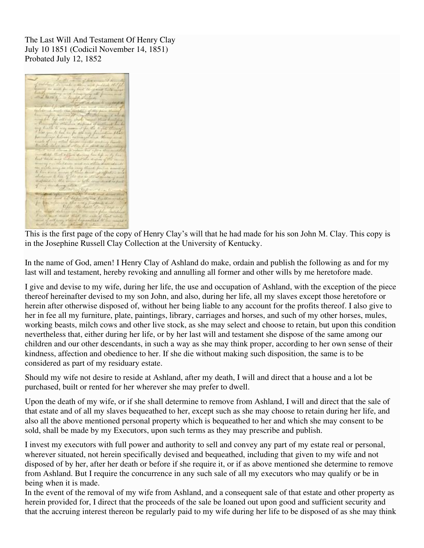The Last Will And Testament Of Henry Clay July 10 1851 (Codicil November 14, 1851) Probated July 12, 1852



This is the first page of the copy of Henry Clay's will that he had made for his son John M. Clay. This copy is in the Josephine Russell Clay Collection at the University of Kentucky.

In the name of God, amen! I Henry Clay of Ashland do make, ordain and publish the following as and for my last will and testament, hereby revoking and annulling all former and other wills by me heretofore made.

I give and devise to my wife, during her life, the use and occupation of Ashland, with the exception of the piece thereof hereinafter devised to my son John, and also, during her life, all my slaves except those heretofore or herein after otherwise disposed of, without her being liable to any account for the profits thereof. I also give to her in fee all my furniture, plate, paintings, library, carriages and horses, and such of my other horses, mules, working beasts, milch cows and other live stock, as she may select and choose to retain, but upon this condition nevertheless that, either during her life, or by her last will and testament she dispose of the same among our children and our other descendants, in such a way as she may think proper, according to her own sense of their kindness, affection and obedience to her. If she die without making such disposition, the same is to be considered as part of my residuary estate.

Should my wife not desire to reside at Ashland, after my death, I will and direct that a house and a lot be purchased, built or rented for her wherever she may prefer to dwell.

Upon the death of my wife, or if she shall determine to remove from Ashland, I will and direct that the sale of that estate and of all my slaves bequeathed to her, except such as she may choose to retain during her life, and also all the above mentioned personal property which is bequeathed to her and which she may consent to be sold, shall be made by my Executors, upon such terms as they may prescribe and publish.

I invest my executors with full power and authority to sell and convey any part of my estate real or personal, wherever situated, not herein specifically devised and bequeathed, including that given to my wife and not disposed of by her, after her death or before if she require it, or if as above mentioned she determine to remove from Ashland. But I require the concurrence in any such sale of all my executors who may qualify or be in being when it is made.

In the event of the removal of my wife from Ashland, and a consequent sale of that estate and other property as herein provided for, I direct that the proceeds of the sale be loaned out upon good and sufficient security and that the accruing interest thereon be regularly paid to my wife during her life to be disposed of as she may think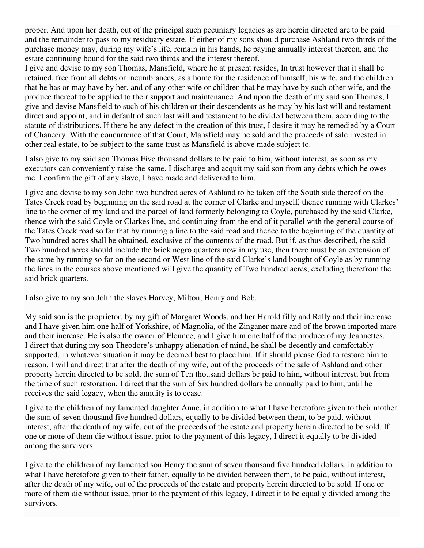proper. And upon her death, out of the principal such pecuniary legacies as are herein directed are to be paid and the remainder to pass to my residuary estate. If either of my sons should purchase Ashland two thirds of the purchase money may, during my wife's life, remain in his hands, he paying annually interest thereon, and the estate continuing bound for the said two thirds and the interest thereof.

I give and devise to my son Thomas, Mansfield, where he at present resides, In trust however that it shall be retained, free from all debts or incumbrances, as a home for the residence of himself, his wife, and the children that he has or may have by her, and of any other wife or children that he may have by such other wife, and the produce thereof to be applied to their support and maintenance. And upon the death of my said son Thomas, I give and devise Mansfield to such of his children or their descendents as he may by his last will and testament direct and appoint; and in default of such last will and testament to be divided between them, according to the statute of distributions. If there be any defect in the creation of this trust, I desire it may be remedied by a Court of Chancery. With the concurrence of that Court, Mansfield may be sold and the proceeds of sale invested in other real estate, to be subject to the same trust as Mansfield is above made subject to.

I also give to my said son Thomas Five thousand dollars to be paid to him, without interest, as soon as my executors can conveniently raise the same. I discharge and acquit my said son from any debts which he owes me. I confirm the gift of any slave, I have made and delivered to him.

I give and devise to my son John two hundred acres of Ashland to be taken off the South side thereof on the Tates Creek road by beginning on the said road at the corner of Clarke and myself, thence running with Clarkes' line to the corner of my land and the parcel of land formerly belonging to Coyle, purchased by the said Clarke, thence with the said Coyle or Clarkes line, and continuing from the end of it parallel with the general course of the Tates Creek road so far that by running a line to the said road and thence to the beginning of the quantity of Two hundred acres shall be obtained, exclusive of the contents of the road. But if, as thus described, the said Two hundred acres should include the brick negro quarters now in my use, then there must be an extension of the same by running so far on the second or West line of the said Clarke's land bought of Coyle as by running the lines in the courses above mentioned will give the quantity of Two hundred acres, excluding therefrom the said brick quarters.

I also give to my son John the slaves Harvey, Milton, Henry and Bob.

My said son is the proprietor, by my gift of Margaret Woods, and her Harold filly and Rally and their increase and I have given him one half of Yorkshire, of Magnolia, of the Zinganer mare and of the brown imported mare and their increase. He is also the owner of Flounce, and I give him one half of the produce of my Jeannettes. I direct that during my son Theodore's unhappy alienation of mind, he shall be decently and comfortably supported, in whatever situation it may be deemed best to place him. If it should please God to restore him to reason, I will and direct that after the death of my wife, out of the proceeds of the sale of Ashland and other property herein directed to be sold, the sum of Ten thousand dollars be paid to him, without interest; but from the time of such restoration, I direct that the sum of Six hundred dollars be annually paid to him, until he receives the said legacy, when the annuity is to cease.

I give to the children of my lamented daughter Anne, in addition to what I have heretofore given to their mother the sum of seven thousand five hundred dollars, equally to be divided between them, to be paid, without interest, after the death of my wife, out of the proceeds of the estate and property herein directed to be sold. If one or more of them die without issue, prior to the payment of this legacy, I direct it equally to be divided among the survivors.

I give to the children of my lamented son Henry the sum of seven thousand five hundred dollars, in addition to what I have heretofore given to their father, equally to be divided between them, to be paid, without interest, after the death of my wife, out of the proceeds of the estate and property herein directed to be sold. If one or more of them die without issue, prior to the payment of this legacy, I direct it to be equally divided among the survivors.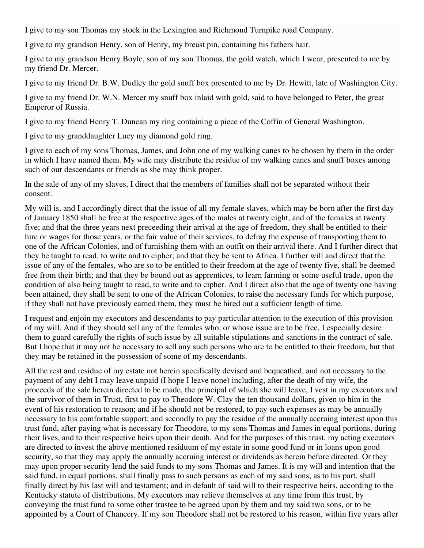I give to my son Thomas my stock in the Lexington and Richmond Turnpike road Company.

I give to my grandson Henry, son of Henry, my breast pin, containing his fathers hair.

I give to my grandson Henry Boyle, son of my son Thomas, the gold watch, which I wear, presented to me by my friend Dr. Mercer.

I give to my friend Dr. B.W. Dudley the gold snuff box presented to me by Dr. Hewitt, late of Washington City.

I give to my friend Dr. W.N. Mercer my snuff box inlaid with gold, said to have belonged to Peter, the great Emperor of Russia.

I give to my friend Henry T. Duncan my ring containing a piece of the Coffin of General Washington.

I give to my granddaughter Lucy my diamond gold ring.

I give to each of my sons Thomas, James, and John one of my walking canes to be chosen by them in the order in which I have named them. My wife may distribute the residue of my walking canes and snuff boxes among such of our descendants or friends as she may think proper.

In the sale of any of my slaves, I direct that the members of families shall not be separated without their consent.

My will is, and I accordingly direct that the issue of all my female slaves, which may be born after the first day of January 1850 shall be free at the respective ages of the males at twenty eight, and of the females at twenty five; and that the three years next preceeding their arrival at the age of freedom, they shall be entitled to their hire or wages for those years, or the fair value of their services, to defray the expense of transporting them to one of the African Colonies, and of furnishing them with an outfit on their arrival there. And I further direct that they be taught to read, to write and to cipher; and that they be sent to Africa. I further will and direct that the issue of any of the females, who are so to be entitled to their freedom at the age of twenty five, shall be deemed free from their birth; and that they be bound out as apprentices, to learn farming or some useful trade, upon the condition of also being taught to read, to write and to cipher. And I direct also that the age of twenty one having been attained, they shall be sent to one of the African Colonies, to raise the necessary funds for which purpose, if they shall not have previously earned them, they must be hired out a sufficient length of time.

I request and enjoin my executors and descendants to pay particular attention to the execution of this provision of my will. And if they should sell any of the females who, or whose issue are to be free, I especially desire them to guard carefully the rights of such issue by all suitable stipulations and sanctions in the contract of sale. But I hope that it may not be necessary to sell any such persons who are to be entitled to their freedom, but that they may be retained in the possession of some of my descendants.

All the rest and residue of my estate not herein specifically devised and bequeathed, and not necessary to the payment of any debt I may leave unpaid (I hope I leave none) including, after the death of my wife, the proceeds of the sale herein directed to be made, the principal of which she will leave, I vest in my executors and the survivor of them in Trust, first to pay to Theodore W. Clay the ten thousand dollars, given to him in the event of his restoration to reason; and if he should not be restored, to pay such expenses as may be annually necessary to his comfortable support; and secondly to pay the residue of the annually accruing interest upon this trust fund, after paying what is necessary for Theodore, to my sons Thomas and James in equal portions, during their lives, and to their respective heirs upon their death. And for the purposes of this trust, my acting executors are directed to invest the above mentioned residuum of my estate in some good fund or in loans upon good security, so that they may apply the annually accruing interest or dividends as herein before directed. Or they may upon proper security lend the said funds to my sons Thomas and James. It is my will and intention that the said fund, in equal portions, shall finally pass to such persons as each of my said sons, as to his part, shall finally direct by his last will and testament; and in default of said will to their respective heirs, according to the Kentucky statute of distributions. My executors may relieve themselves at any time from this trust, by conveying the trust fund to some other trustee to be agreed upon by them and my said two sons, or to be appointed by a Court of Chancery. If my son Theodore shall not be restored to his reason, within five years after